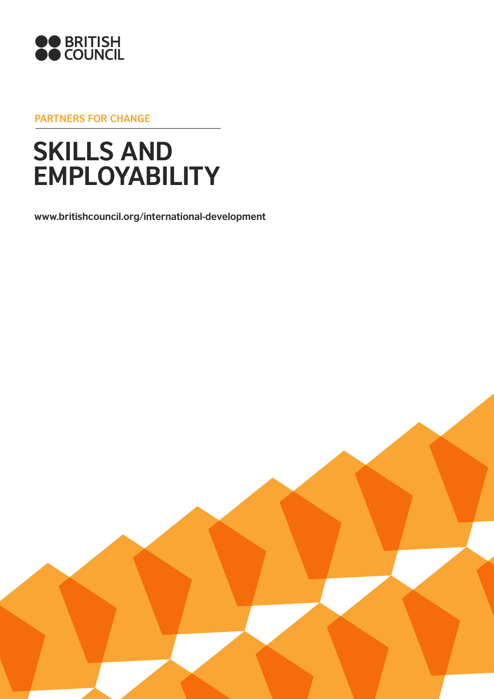

**Partners for change**

# **SKILLS AND EMPLOYABILITY**

**www.britishcouncil.org/international-development**

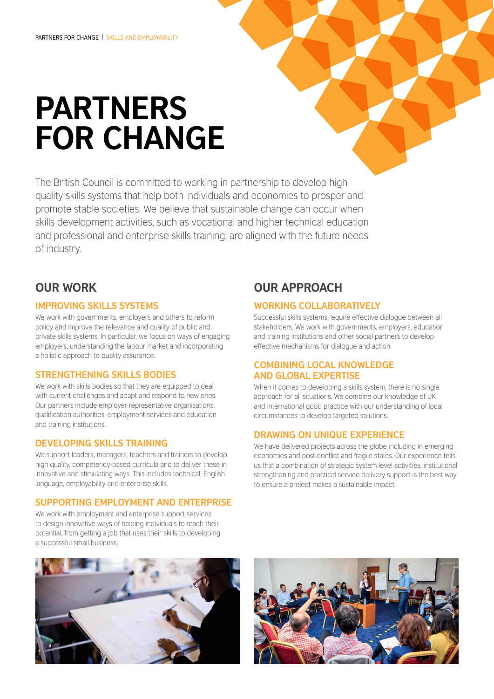# **Partners for change**

The British Council is committed to working in partnership to develop high quality skills systems that help both individuals and economies to prosper and promote stable societies. We believe that sustainable change can occur when skills development activities, such as vocational and higher technical education and professional and enterprise skills training, are aligned with the future needs of industry.

## **Our work**

#### **Improving skills systems**

We work with governments, employers and others to reform policy and improve the relevance and quality of public and private skills systems. In particular, we focus on ways of engaging employers, understanding the labour market and incorporating a holistic approach to quality assurance.

#### **Strengthening skills bodies**

We work with skills bodies so that they are equipped to deal with current challenges and adapt and respond to new ones. Our partners include employer representative organisations, qualification authorities, employment services and education and training institutions.

#### **Developing skills training**

We support leaders, managers, teachers and trainers to develop high quality, competency-based curricula and to deliver these in innovative and stimulating ways. This includes technical, English language, employability and enterprise skills.

#### **Supporting employment and enterprise**

We work with employment and enterprise support services to design innovative ways of helping individuals to reach their potential, from getting a job that uses their skills to developing a successful small business.

## **Our approach**

#### **Working collaboratively**

Successful skills systems require effective dialogue between all stakeholders. We work with governments, employers, education and training institutions and other social partners to develop effective mechanisms for dialogue and action.

#### **Combining local knowledge and global expertise**

When it comes to developing a skills system, there is no single approach for all situations. We combine our knowledge of UK and international good practice with our understanding of local circumstances to develop targeted solutions.

#### **Drawing on unique experience**

We have delivered projects across the globe including in emerging economies and post-conflict and fragile states. Our experience tells us that a combination of strategic system level activities, institutional strengthening and practical service delivery support is the best way to ensure a project makes a sustainable impact.



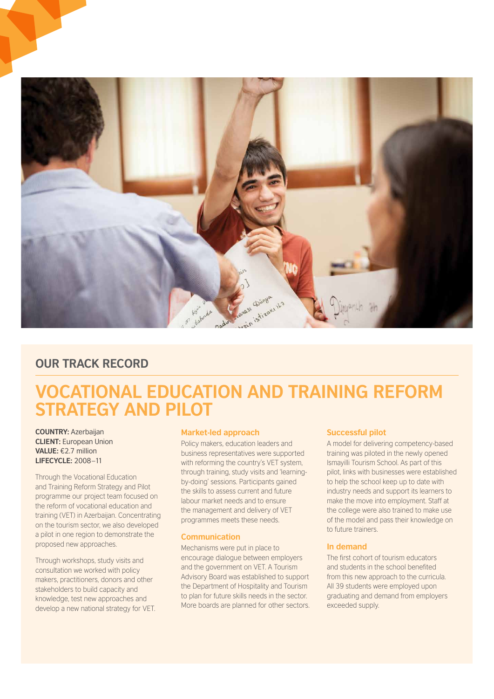

## **OUR TRACK RECORD**

# **Vocational Education and Training Reform Strategy and Pilot**

**Country:** Azerbaijan **client:** European Union **Value:** €2.7 million **Lifecycle:** 2008–11

Through the Vocational Education and Training Reform Strategy and Pilot programme our project team focused on the reform of vocational education and training (VET) in Azerbaijan. Concentrating on the tourism sector, we also developed a pilot in one region to demonstrate the proposed new approaches.

Through workshops, study visits and consultation we worked with policy makers, practitioners, donors and other stakeholders to build capacity and knowledge, test new approaches and develop a new national strategy for VET.

#### **Market-led approach**

Policy makers, education leaders and business representatives were supported with reforming the country's VET system, through training, study visits and 'learningby-doing' sessions. Participants gained the skills to assess current and future labour market needs and to ensure the management and delivery of VET programmes meets these needs.

#### **Communication**

Mechanisms were put in place to encourage dialogue between employers and the government on VET. A Tourism Advisory Board was established to support the Department of Hospitality and Tourism to plan for future skills needs in the sector. More boards are planned for other sectors.

#### **Successful pilot**

A model for delivering competency-based training was piloted in the newly opened Ismayilli Tourism School. As part of this pilot, links with businesses were established to help the school keep up to date with industry needs and support its learners to make the move into employment. Staff at the college were also trained to make use of the model and pass their knowledge on to future trainers.

#### **In demand**

The first cohort of tourism educators and students in the school benefited from this new approach to the curricula. All 39 students were employed upon graduating and demand from employers exceeded supply.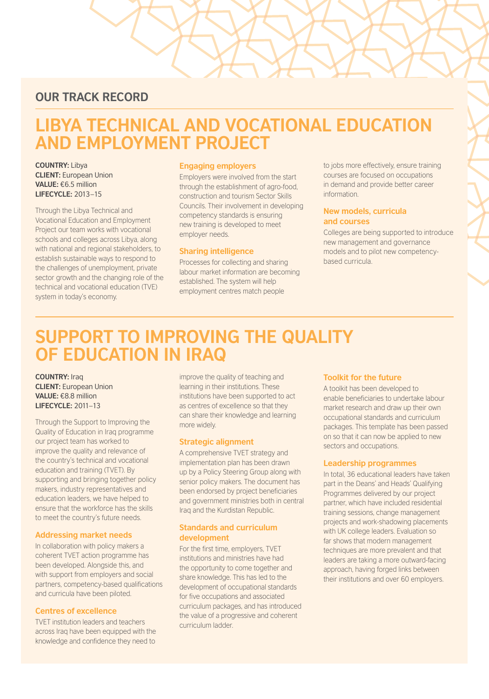### **OUR TRACK RECORD**

# **Libya Technical and Vocational Education and Employment Project**

**COUNTRY: Libya Client:** European Union **Value:** €6.5 million **Lifecycle:** 2013–15

Through the Libya Technical and Vocational Education and Employment Project our team works with vocational schools and colleges across Libya, along with national and regional stakeholders, to establish sustainable ways to respond to the challenges of unemployment, private sector growth and the changing role of the technical and vocational education (TVE) system in today's economy.

#### **Engaging employers**

Employers were involved from the start through the establishment of agro-food, construction and tourism Sector Skills Councils. Their involvement in developing competency standards is ensuring new training is developed to meet employer needs.

#### **Sharing intelligence**

Processes for collecting and sharing labour market information are becoming established. The system will help employment centres match people

to jobs more effectively, ensure training courses are focused on occupations in demand and provide better career information.

#### **New models, curricula and courses**

Colleges are being supported to introduce new management and governance models and to pilot new competencybased curricula.

# **Support to Improving the Quality of Education in Iraq**

**Country:** Iraq **Client:** European Union **Value:** €8.8 million **Lifecycle:** 2011–13

Through the Support to Improving the Quality of Education in Iraq programme our project team has worked to improve the quality and relevance of the country's technical and vocational education and training (TVET). By supporting and bringing together policy makers, industry representatives and education leaders, we have helped to ensure that the workforce has the skills to meet the country's future needs.

#### **Addressing market needs**

In collaboration with policy makers a coherent TVET action programme has been developed. Alongside this, and with support from employers and social partners, competency-based qualifications and curricula have been piloted.

#### **Centres of excellence**

TVET institution leaders and teachers across Iraq have been equipped with the knowledge and confidence they need to

improve the quality of teaching and learning in their institutions. These institutions have been supported to act as centres of excellence so that they can share their knowledge and learning more widely.

#### **Strategic alignment**

A comprehensive TVET strategy and implementation plan has been drawn up by a Policy Steering Group along with senior policy makers. The document has been endorsed by project beneficiaries and government ministries both in central Iraq and the Kurdistan Republic.

#### **Standards and curriculum development**

For the first time, employers, TVET institutions and ministries have had the opportunity to come together and share knowledge. This has led to the development of occupational standards for five occupations and associated curriculum packages, and has introduced the value of a progressive and coherent curriculum ladder.

#### **Toolkit for the future**

A toolkit has been developed to enable beneficiaries to undertake labour market research and draw up their own occupational standards and curriculum packages. This template has been passed on so that it can now be applied to new sectors and occupations.

#### **Leadership programmes**

In total, 36 educational leaders have taken part in the Deans' and Heads' Qualifying Programmes delivered by our project partner, which have included residential training sessions, change management projects and work-shadowing placements with UK college leaders. Evaluation so far shows that modern management techniques are more prevalent and that leaders are taking a more outward-facing approach, having forged links between their institutions and over 60 employers.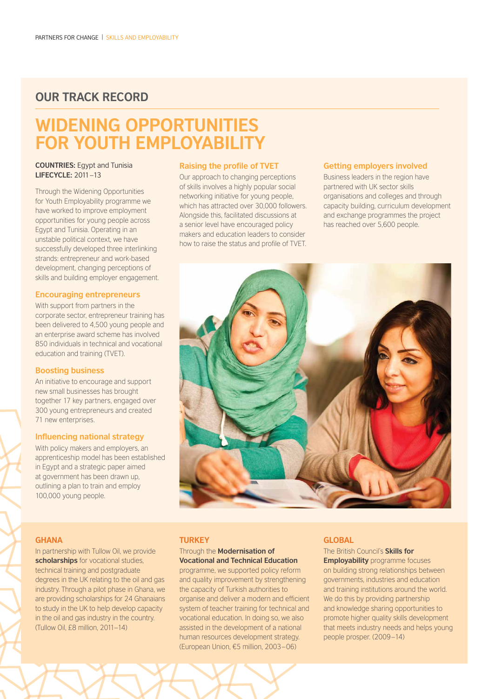### **OUR TRACK RECORD**

# **Widening Opportunities FOR YOUTH EMPLOYABILIT**

#### **COUNTRIES:** Egypt and Tunisia **Lifecycle:** 2011–13

Through the Widening Opportunities for Youth Employability programme we have worked to improve employment opportunities for young people across Egypt and Tunisia. Operating in an unstable political context, we have successfully developed three interlinking strands: entrepreneur and work-based development, changing perceptions of skills and building employer engagement.

#### **Encouraging entrepreneurs**

With support from partners in the corporate sector, entrepreneur training has been delivered to 4,500 young people and an enterprise award scheme has involved 850 individuals in technical and vocational education and training (TVET).

#### **Boosting business**

An initiative to encourage and support new small businesses has brought together 17 key partners, engaged over 300 young entrepreneurs and created 71 new enterprises.

#### **Influencing national strategy**

With policy makers and employers, an apprenticeship model has been established in Egypt and a strategic paper aimed at government has been drawn up, outlining a plan to train and employ 100,000 young people.

#### **Raising the profile of TVET**

Our approach to changing perceptions of skills involves a highly popular social networking initiative for young people, which has attracted over 30,000 followers. Alongside this, facilitated discussions at a senior level have encouraged policy makers and education leaders to consider how to raise the status and profile of TVET.

#### **Getting employers involved**

Business leaders in the region have partnered with UK sector skills organisations and colleges and through capacity building, curriculum development and exchange programmes the project has reached over 5,600 people.



#### **Ghana**

In partnership with Tullow Oil, we provide **scholarships** for vocational studies, technical training and postgraduate degrees in the UK relating to the oil and gas industry. Through a pilot phase in Ghana, we are providing scholarships for 24 Ghanaians to study in the UK to help develop capacity in the oil and gas industry in the country. (Tullow Oil, £8 million, 2011–14)

#### **TURKEY**

#### Through the **Modernisation of Vocational and Technical Education**

programme, we supported policy reform and quality improvement by strengthening the capacity of Turkish authorities to organise and deliver a modern and efficient system of teacher training for technical and vocational education. In doing so, we also assisted in the development of a national human resources development strategy. (European Union, €5 million, 2003–06)

#### **Global**

The British Council's **Skills for Employability** programme focuses on building strong relationships between governments, industries and education and training institutions around the world. We do this by providing partnership and knowledge sharing opportunities to promote higher quality skills development that meets industry needs and helps young people prosper. (2009–14)